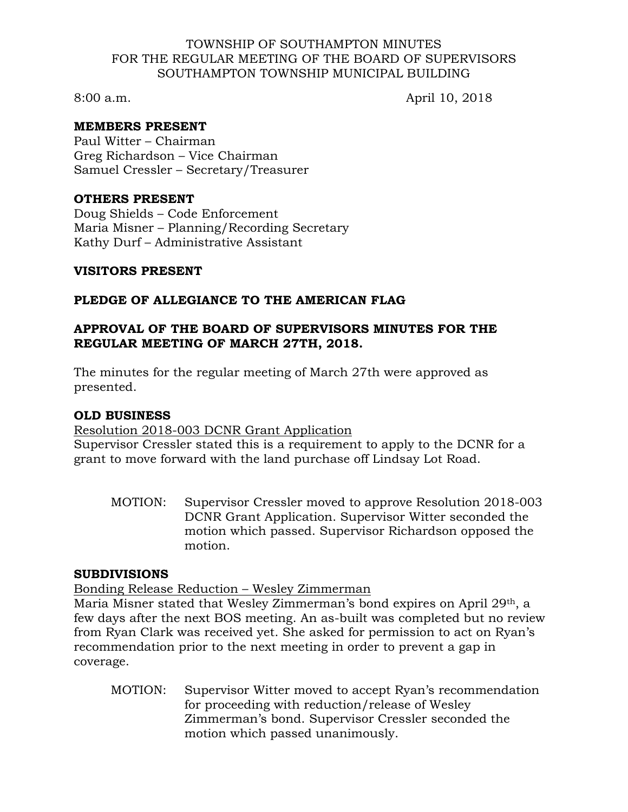#### TOWNSHIP OF SOUTHAMPTON MINUTES FOR THE REGULAR MEETING OF THE BOARD OF SUPERVISORS SOUTHAMPTON TOWNSHIP MUNICIPAL BUILDING

8:00 a.m. April 10, 2018

# **MEMBERS PRESENT**

Paul Witter – Chairman Greg Richardson – Vice Chairman Samuel Cressler – Secretary/Treasurer

#### **OTHERS PRESENT**

Doug Shields – Code Enforcement Maria Misner – Planning/Recording Secretary Kathy Durf – Administrative Assistant

# **VISITORS PRESENT**

# **PLEDGE OF ALLEGIANCE TO THE AMERICAN FLAG**

# **APPROVAL OF THE BOARD OF SUPERVISORS MINUTES FOR THE REGULAR MEETING OF MARCH 27TH, 2018.**

The minutes for the regular meeting of March 27th were approved as presented.

# **OLD BUSINESS**

#### Resolution 2018-003 DCNR Grant Application

Supervisor Cressler stated this is a requirement to apply to the DCNR for a grant to move forward with the land purchase off Lindsay Lot Road.

MOTION: Supervisor Cressler moved to approve Resolution 2018-003 DCNR Grant Application. Supervisor Witter seconded the motion which passed. Supervisor Richardson opposed the motion.

# **SUBDIVISIONS**

Bonding Release Reduction – Wesley Zimmerman

Maria Misner stated that Wesley Zimmerman's bond expires on April 29th, a few days after the next BOS meeting. An as-built was completed but no review from Ryan Clark was received yet. She asked for permission to act on Ryan's recommendation prior to the next meeting in order to prevent a gap in coverage.

MOTION: Supervisor Witter moved to accept Ryan's recommendation for proceeding with reduction/release of Wesley Zimmerman's bond. Supervisor Cressler seconded the motion which passed unanimously.